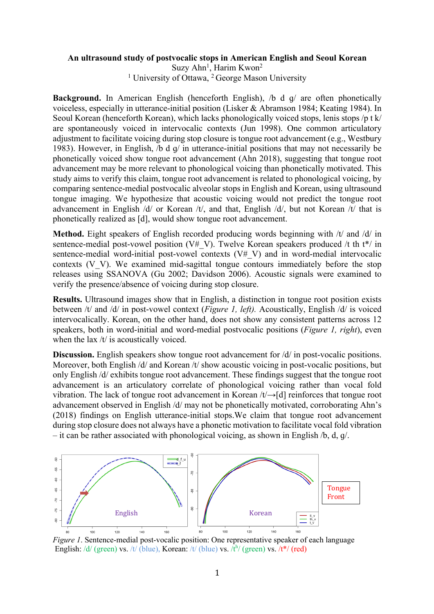## **An ultrasound study of postvocalic stops in American English and Seoul Korean**

Suzy Ahn<sup>1</sup>, Harim Kwon<sup>2</sup>

<sup>1</sup> University of Ottawa, <sup>2</sup> George Mason University

**Background.** In American English (henceforth English), /b d q/ are often phonetically voiceless, especially in utterance-initial position (Lisker & Abramson 1984; Keating 1984). In Seoul Korean (henceforth Korean), which lacks phonologically voiced stops, lenis stops /p t k/ are spontaneously voiced in intervocalic contexts (Jun 1998). One common articulatory adjustment to facilitate voicing during stop closure is tongue root advancement (e.g., Westbury 1983). However, in English, /b d ɡ/ in utterance-initial positions that may not necessarily be phonetically voiced show tongue root advancement (Ahn 2018), suggesting that tongue root advancement may be more relevant to phonological voicing than phonetically motivated. This study aims to verify this claim, tongue root advancement is related to phonological voicing, by comparing sentence-medial postvocalic alveolar stops in English and Korean, using ultrasound tongue imaging. We hypothesize that acoustic voicing would not predict the tongue root advancement in English /d/ or Korean /t/, and that, English /d/, but not Korean /t/ that is phonetically realized as [d], would show tongue root advancement.

**Method.** Eight speakers of English recorded producing words beginning with /t/ and /d/ in sentence-medial post-vowel position (V# V). Twelve Korean speakers produced /t th t<sup>\*</sup>/ in sentence-medial word-initial post-vowel contexts  $(V# V)$  and in word-medial intervocalic contexts (V\_V). We examined mid-sagittal tongue contours immediately before the stop releases using SSANOVA (Gu 2002; Davidson 2006). Acoustic signals were examined to verify the presence/absence of voicing during stop closure.

**Results.** Ultrasound images show that in English, a distinction in tongue root position exists between /t/ and /d/ in post-vowel context (*Figure 1, left).* Acoustically, English /d/ is voiced intervocalically. Korean, on the other hand, does not show any consistent patterns across 12 speakers, both in word-initial and word-medial postvocalic positions (*Figure 1, right*), even when the lax /t/ is acoustically voiced.

**Discussion.** English speakers show tongue root advancement for  $\frac{d}{dx}$  in post-vocalic positions. Moreover, both English /d/ and Korean /t/ show acoustic voicing in post-vocalic positions, but only English /d/ exhibits tongue root advancement. These findings suggest that the tongue root advancement is an articulatory correlate of phonological voicing rather than vocal fold vibration. The lack of tongue root advancement in Korean /t/→[d] reinforces that tongue root advancement observed in English /d/ may not be phonetically motivated, corroborating Ahn's (2018) findings on English utterance-initial stops.We claim that tongue root advancement during stop closure does not always have a phonetic motivation to facilitate vocal fold vibration – it can be rather associated with phonological voicing, as shown in English /b, d, ɡ/.



*Figure 1*. Sentence-medial post-vocalic position: One representative speaker of each language English: /d/ (green) vs. /t/ (blue), Korean: /t/ (blue) vs.  $\overline{A}^{h}$ / (green) vs. /t\*/ (red)